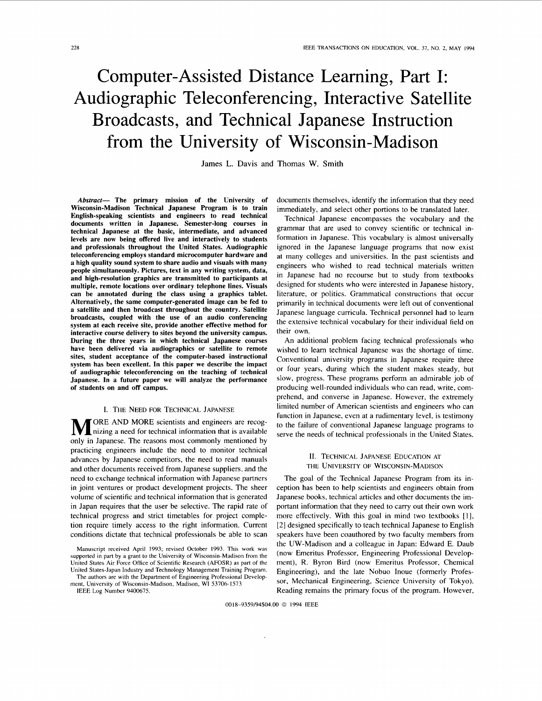# Computer-Assisted Distance Learning, Part I: Audiographic Teleconferencing, Interactive Satellite Broadcasts, and Technical Japanese Instruction from the University of Wisconsin-Madison

James **L.** Davis and Thomas W. Smith

*Abstruct-* The primary mission of the University of Wisconsin-Madison Technical Japanese Program is to train English-speaking scientists and engineers to read technical documents written in Japanese. Semester-long courses in technical Japanese at the basic, intermediate, and advanced levels are now being offered live and interactively to students and professionals throughout the United States. Audiographic teleconferencing employs standard microcomputer hardware and a high quality sound system to share audio and visuals with many people simultaneously. Pictures, text in any writing system, data, and high-resolution graphics are transmitted to participants at multiple, remote locations over ordinary telephone lines. Visuals can be annotated during the class using a graphics tablet. Alternatively, the same computer-generated image can be fed to a satellite and then broadcast throughout the country. Satellite broadcasts, coupled with the use of an audio conferencing system at each receive site, provide another effective method for interactive course delivery to sites beyond the university campus. During the three years in which technical Japanese courses have been delivered via audiographics or satellite to remote sites, student acceptance of the computer-based instructional system has been excellent. In this paper we describe the impact of audiographic teleconferencing on the teaching of technical Japanese. In a future paper we will analyze the performance of students on and off campus.

#### **I.** THE NEED **FOR** TECHNICAL JAPANESE

**M** ORE AND MORE scientists and engineers are recognizing a need for technical information that is available only in Japanese. The reasons most commonly mentioned by practicing engineers include the need to monitor technical advances by Japanese competitors, the need to read manuals and other documents received from Japanese suppliers, and the need to exchange technical information with Japanese partners in joint ventures or product development projects. The sheer volume of scientific and technical information that is generated in Japan requires that the user be selective. The rapid rate of technical progress and strict timetables for project completion require timely access to the right information. Current conditions dictate that technical professionals be able to scan

Manuscript received April 1993; revised October 1993. This **work** was supported in part by a grant to the University of Wisconsin-Madison from the United States Air Force Office of Scientific Research (AFOSR) as part of the United States-Japan Industry and Technology Management Training Program.

The authors are with the Department of Engineering Professional Development, University of Wisconsin-Madison, Madison, WI 53706-1573

IEEE Log Number 9400675.

documents themselves, identify the information that they need immediately, and select other portions to be translated later.

Technical Japanese encompasses the vocabulary and the grammar that are used to convey scientific or technical information in Japanese. This vocabulary is almost universally ignored in the Japanese language programs that now exist at many colleges and universities. In the past scientists and engineers who wished to read technical materials written in Japanese had no recourse but to study from textbooks designed for students who were interested in Japanese history, literature, or politics. Grammatical constructions that occur primarily in technical documents were left out of conventional Japanese language curricula. Technical personnel had to learn the extensive technical vocabulary for their individual field on their own.

An additional problem facing technical professionals who wished to learn technical Japanese was the shortage of time. Conventional university programs in Japanese require three or four years, during which the student makes steady, but slow, progress. These programs perform an admirable job of producing well-rounded individuals who can read, write, comprehend, and converse in Japanese. However, the extremely limited number of American scientists and engineers who can function in Japanese, even at a rudimentary level, is testimony to the failure of conventional Japanese language programs to serve the needs of technical professionals in the United States.

## **11.** TECHNICAL JAPANESE DUCATION AT THE UNIVERSITY OF WISCONSIN-MADISON

The goal of the Technical Japanese Program from its inception has been to help scientists and engineers obtain from Japanese books, technical articles and other documents the important information that they need to carry out their own work more effectively. With this goal in mind two textbooks [l], [2] designed specifically to teach technical Japanese to English speakers have been coauthored by two faculty members from the UW-Madison and a colleague in Japan: Edward E. Daub (now Emeritus Professor, Engineering Professional Development), R. Byron Bird (now Emeritus Professor, Chemical Engineering), and the late Nobuo Inoue (formerly Professor, Mechanical Engineering, Science University of Tokyo). Reading remains the primary focus of the program. However,

001 8-9359/94\$04.00 *0* I994 **IEEE**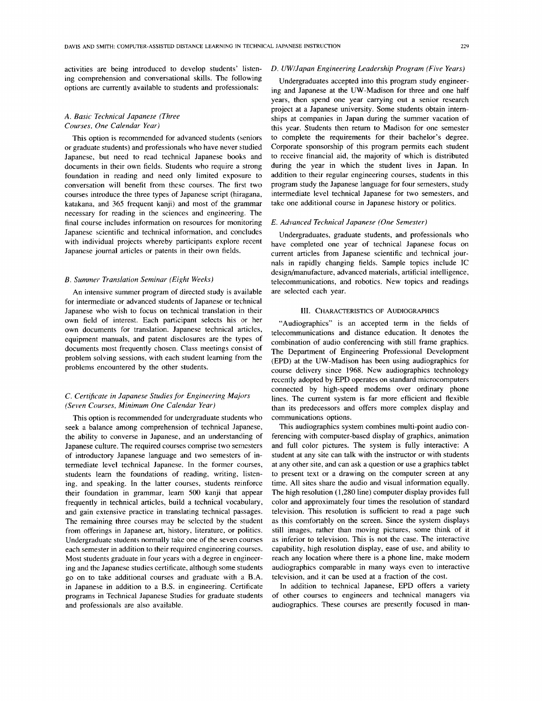activities are being introduced to develop students' listening comprehension and conversational skills. The following options are currently available to students and professionals:

# *A. Basic Technical Japanese (Three Courses, One Calendar Year)*

This option is recommended for advanced students (seniors or graduate students) and professionals who have never studied Japanese, but need to read technical Japanese books and documents in their own fields. Students who require a strong foundation in reading and need only limited exposure to conversation will benefit from these courses. The first two courses introduce the three types of Japanese script (hiragana, katakana, and 365 frequent kanji) and most of the grammar necessary for reading in the sciences and engineering. The final course includes information on resources for monitoring Japanese scientific and technical information, and concludes with individual projects whereby participants explore recent Japanese journal articles or patents in their own fields.

# *B. Summer Translation Seminar (Eight Weeks)*

An intensive summer program of directed study is available for intermediate or advanced students of Japanese or technical Japanese who wish to focus on technical translation in their own field of interest. Each participant selects his or her own documents for translation. Japanese technical articles, equipment manuals, and patent disclosures are the types of documents most frequently chosen. Class meetings consist of problem solving sessions, with each student learning from the problems encountered by the other students.

## *C. Certijkate in Japanese Studies for Engineering Majors (Seven Courses, Minimum One Calendar Year)*

This option is recommended for undergraduate students who seek a balance among comprehension of technical Japanese, the ability to converse in Japanese, and an understanding of Japanese culture. The required courses comprise two semesters of introductory Japanese language and two semesters of intermediate level technical Japanese. In the former courses, students learn the foundations of reading, writing, listening, and speaking. In the latter courses, students reinforce their foundation in grammar, learn *SO0* kanji that appear frequently in technical articles, build a technical vocabulary, and gain extensive practice in translating technical passages. The remaining three courses may be selected by the student from offerings in Japanese art, history, literature, or politics. Undergraduate students normally take one of the seven courses each semester in addition to their required engineering courses. Most students graduate in four years with a degree in engineering and the Japanese studies certificate, although some students go on to take additional courses and graduate with a B.A. in Japanese in addition to a B.S. in engineering. Certificate programs in Technical Japanese Studies for graduate students and professionals are also available.

# *D. UWIJapan Engineering Leadership Program (Five Years)*

Undergraduates accepted into this program study engineering and Japanese at the UW-Madison for three and one half years, then spend one year carrying out a senior research project at a Japanese university. Some students obtain intemships at companies in Japan during the summer vacation of this year. Students then return to Madison for one semester to complete the requirements for their bachelor's degree. Corporate sponsorship of this program permits each student to receive financial aid, the majority of which is distributed during the year in which the student lives in Japan. In addition to their regular engineering courses, students in this program study the Japanese language for four semesters, study intermediate level technical Japanese for two semesters, and take one additional course in Japanese history or politics.

## *E. Advanced Technical Japanese (One Semester)*

Undergraduates, graduate students, and professionals who have completed one year of technical Japanese focus on current articles from Japanese scientific and technical journals in rapidly changing fields. Sample topics include IC design/manufacture, advanced materials, artificial intelligence, telecommunications, and robotics. New topics and readings are selected each year.

#### **111.** CHARACTERISTICS OF AUDIOGRAPHICS

"Audiographics" is an accepted term in the fields of telecommunications and distance education. It denotes the combination of audio conferencing with still frame graphics. The Department of Engineering Professional Development (EPD) at the UW-Madison has been using audiographics for course delivery since 1968. New audiographics technology recently adopted by EPD operates on standard microcomputers connected by high-speed modems over ordinary phone lines. The current system is far more efficient and flexible than its predecessors and offers more complex display and communications options.

This audiographics system combines multi-point audio conferencing with computer-based display of graphics, animation and full color pictures. The system is fully interactive: A student at any site can talk with the instructor or with students at any other site, and can ask a question or use a graphics tablet to present text or a drawing on the computer screen at any time. All sites share the audio and visual information equally. The high resolution (1.280 line) computer display provides full color and approximately four times the resolution of standard television. This resolution is sufficient to read a page such as this comfortably on the screen. Since the system displays still images, rather than moving pictures, some think of it as inferior to television. This is not the case. The interactive capability, high resolution display, ease of use, and ability to reach any location where there is a phone line, make modem audiographics comparable in many ways even to interactive television, and it can be used at a fraction of the cost.

In addition to technical Japanese, EPD offers a variety of other courses to engineers and technical managers via audiographics. These courses are presently focused in man-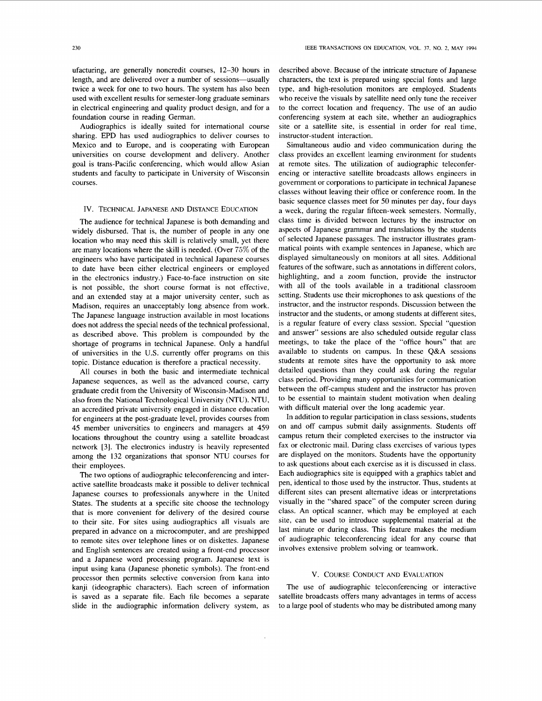Audiographics is ideally suited for international course sharing. EPD has used audiographics to deliver courses to Mexico and to Europe, and is cooperating with European universities on course development and delivery. Another goal is trans-Pacific conferencing, which would allow Asian students and faculty to participate in University of Wisconsin courses.

## Iv. TECHNICAL JAPANESE AND DISTANCE EDUCATION

The audience for technical Japanese is both demanding and widely disbursed. That is, the number of people in any one location who may need this skill is relatively small, yet there are many locations where the skill is needed. (Over *75%* of the engineers who have participated in technical Japanese courses to date have been either electrical engineers or employed in the electronics industry.) Face-to-face instruction on site is not possible, the short course format is not effective, and an extended stay at a major university center, such as Madison, requires an unacceptably long absence from work. The Japanese language instruction available in most locations does not address the special needs of the technical professional, as described above. This problem is compounded by the shortage of programs in technical Japanese. Only a handful of universities in the U.S. currently offer programs on this topic. Distance education is therefore a practical necessity.

All courses in both the basic and intermediate technical Japanese sequences, as well as the advanced course, carry graduate credit from the University of Wisconsin-Madison and also from the National Technological University (NTU). NTU, an accredited private university engaged in distance education for engineers at the post-graduate level, provides courses from 45 member universities to engineers and managers at 459 locations throughout the country using a satellite broadcast network [3]. The electronics industry is heavily represented among the 132 organizations that sponsor NTU courses for their employees.

The two options of audiographic teleconferencing and interactive satellite broadcasts make it possible to deliver technical Japanese courses to professionals anywhere in the United States. The students at a specific site choose the technology that is more convenient for delivery of the desired course to their site. For sites using audiographics all visuals are prepared in advance on a microcomputer, and are preshipped to remote sites over telephone lines or on diskettes. Japanese and English sentences are created using a front-end processor and a Japanese word processing program. Japanese text is input using kana (Japanese phonetic symbols). The front-end processor then permits selective conversion from kana into kanji (ideographic characters). Each screen of information is saved as a separate file. Each file becomes a separate slide in the audiographic information delivery system, as to the correct location and frequency. The use of an audio conferencing system at each site, whether an audiographics site or a satellite site, is essential in order for real time, instructor-student interaction.

Simultaneous audio and video communication during the class provides an excellent leaming environment for students at remote sites. The utilization of audiographic teleconferencing or interactive satellite broadcasts allows engineers in govemment or corporations to participate in technical Japanese classes without leaving their office or conference room. In the basic sequence classes meet for 50 minutes per day, four days a week, during the regular fifteen-week semesters. Normally, class time is divided between lectures by the instructor on aspects of Japanese grammar and translations by the students of selected Japanese passages. The instructor illustrates grammatical points with example sentences in Japanese, which are displayed simultaneously on monitors at all sites. Additional features of the software, such as annotations in different colors, highlighting, and a zoom function, provide the instructor with all of the tools available in a traditional classroom setting. Students use their microphones to ask questions of the instructor, and the instructor responds. Discussion between the instructor and the students, or among students at different sites, is a regular feature of every class session. Special "question and answer" sessions are also scheduled outside regular class meetings, to take the place of the "office hours" that are available to students on campus. In these Q&A sessions students at remote sites have the opportunity to ask more detailed questions than they could ask during the regular class period. Providing many opportunities for communication between the off-campus student and the instructor has proven to be essential to maintain student motivation when dealing with difficult material over the long academic year.

In addition to regular participation in class sessions, students on and off campus submit daily assignments. Students off campus retum their completed exercises to the instructor via fax or electronic mail. During class exercises of various types are displayed on the monitors. Students have the opportunity to ask questions about each exercise as it is discussed in class. Each audiographics site is equipped with a graphics tablet and pen, identical to those used by the instructor. Thus, students at different sites can present altemative ideas or interpretations visually in the "shared space" of the computer screen during class. An optical scanner, which may be employed at each site, can be used to introduce supplemental material at the last minute or during class. This feature makes the medium of audiographic teleconferencing ideal for any course that involves extensive problem solving or teamwork.

#### v. COURSE CONDUCT AND EVALUATION

The use of audiographic teleconferencing or interactive satellite broadcasts offers many advantages in terms of access to a large pool of students who may be distributed among many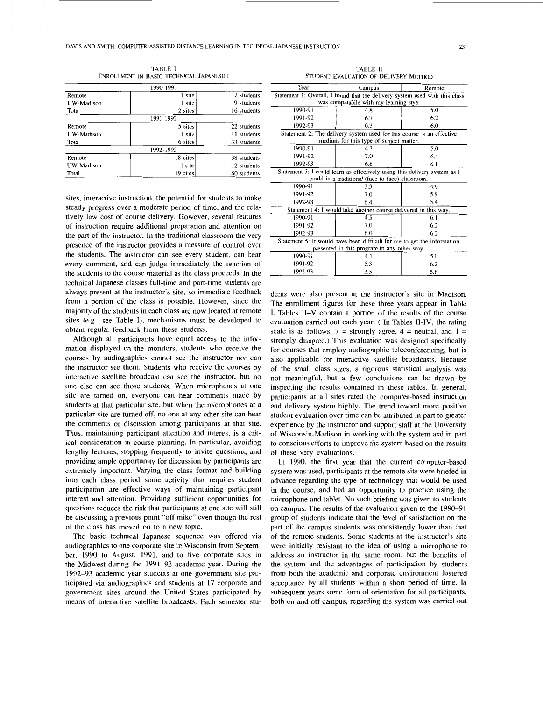**TABLE I** ENROLLMENT IN BASIC TECHNICAL JAPANESE I

|            | 1990-1991 |             |
|------------|-----------|-------------|
| Remote     | I site    | 7 students  |
| UW-Madison | 1 site    | 9 students  |
| Total      | 2 sites   | 16 students |
|            | 1991-1992 |             |
| Remote     | 5 sites   | 22 students |
| UW-Madison | 1 site    | 11 students |
| Total      | 6 sites   | 33 students |
|            | 1992-1993 |             |
| Remote     | 18 cites  | 38 students |
| UW-Madison | 1 cite    | 12 students |
| Total      | 19 cites  | 50 students |
|            |           |             |

sites, interactive instruction, the potential for students to make steady progress over a moderate period of time, and the relatively low cost of course delivery. However, several features of instruction require additional preparation and attention on the part of the instructor. In the traditional classroom the very presence of the instructor provides a measure of control over the students. The instructor can see every student, can hear every comment, and can judge immediately the reaction of the students to the course material as the class proceeds. In the technical Japanese classes full-time and part-time students are always present at the instructor's site, so immediate feedback from a portion of the class is possible. However, since the majority of the students in each class are now located at remote sites (e.g., see Table **I),** mechanisms must be developed to obtain regular feedback from these students.

Although all participants have equal access to the information displayed on the monitors, students who receive the courses by audiographics cannot see the instructor nor can the instructor see them. Students who receive the courses by interactive satellite broadcast can see the instructor, but no one else can see those students. When microphones at one site are turned on, everyone can hear comments made by students at that particular site, but when the microphones at a particular site are tumed off, no one at any other site can hear the comments or discussion among participants at that site. Thus, maintaining participant attention and interest is a critical consideration in course planning. In particular, avoiding lengthy lectures, stopping frequently to invite questions, and providing ample opportunity for discussion by participants are extremely important. Varying the class format and building into each class period some activity that requires student participation are effective ways of maintaining participant interest and attention. Providing sufficient opportunities for questions reduces the risk that participants at one site will still be discussing a previous point "off mike" even though the rest of the class has moved on to a new topic.

The basic technical Japanese sequence was offered via audiographics to one corporate site in Wisconsin from September, 1990 to August, 1991, and to five corporate sites in the Midwest during the 1991-92 academic year. During the 1992-93 academic year students at one government site participated via audiographics and students at 17 corporate and government sites around the United States participated by means of interactive satellite broadcasts. Each semester stu-

| Year                                                                        | Campus                                 | Remote |  |  |
|-----------------------------------------------------------------------------|----------------------------------------|--------|--|--|
| Statement 1: Overall, I found that the delivery system used with this class |                                        |        |  |  |
|                                                                             | was compatabile with my learning stye. |        |  |  |
| 1990-91                                                                     | 4.8                                    | 5.0    |  |  |
| 1991-92                                                                     | 6.7                                    | 6.2    |  |  |
| 1992-93                                                                     | 6.3                                    | 6.0    |  |  |
| Statement 2: The delivery system used for this course is an effective       |                                        |        |  |  |
| medium for this type of subject matter.                                     |                                        |        |  |  |
| 1990-91                                                                     | 4.3                                    | 5.0    |  |  |
| 1991-92                                                                     | 7.0                                    | 6.4    |  |  |
| 1992-93                                                                     | 6.6                                    | 6.1    |  |  |
| Statement 3: I could learn as effectively using this delivery system as I   |                                        |        |  |  |
| could in a traditional (face-to-face) classroom.                            |                                        |        |  |  |
| 1990-91                                                                     | 3.3                                    | 4.9    |  |  |
| 1991-92                                                                     | 7.0                                    | 5.9    |  |  |
| 1992-93                                                                     | 6.4                                    | 5.4    |  |  |
| Statement 4: I would take another course delivered in this way.             |                                        |        |  |  |
| 1990-91                                                                     | 4.5                                    | 6.1    |  |  |
| 1991-92                                                                     | 7.0                                    | 6.2    |  |  |
| 1992-93                                                                     | 6.0                                    | 6.2    |  |  |
| Statement 5: It would have been difficult for me to get the information     |                                        |        |  |  |
| presented in this program in any other way.                                 |                                        |        |  |  |

 $1990-91$  4.1 5.0

5.3 6.2  $3.5$  5.8

1991-92 1992-93

TABLE **I1**  STUDENT EVALUATION OF DELIVERY METHOD

dents were also present at the instructor's site in Madison. The enrollment figures for these three years appear in Table I. Tables 11-V contain a portion of the results of the course evaluation carried out each year. ( In Tables 11-IV, the rating scale is as follows:  $7 =$  strongly agree,  $4 =$  neutral, and  $1 =$ strongly disagree.) This evaluation was designed specifically for courses that employ audiographic teleconferencing, but is also applicable for interactive satellite broadcasts. Because of the small class sizes, a rigorous statistical analysis was not meaningful, but a few conclusions can be drawn by inspecting the results contained in these tables. In general, participants at all sites rated the computer-based instruction and delivery system highly. The trend toward more positive student evaluation over time can be attributed in part to greater experience by the instructor and support staff at the University of Wisconsin-Madison in working with the system and in part to conscious efforts to improve the system based on the results of these very evaluations.

In 1990, the first year that the current computer-based system was used, participants at the remote site were briefed in advance regarding the type of technology that would be used in the course, and had an opportunity to practice using the microphone and tablet. No such briefing was given to students on campus. The results of the evaluation given to the 1990-9 **<sup>1</sup>** group of students indicate that the level of satisfaction on the part of the campus students was consistently lower than that of the remote students. Some students at the instructor's site were initially resistant to the idea of using a microphone to address an instructor in the same room, but the benefits of the system and the advantages of participation by students from both the academic and corporate environment fostered acceptance by all students within a short period of time. In subsequent years some form of orientation for all participants, both on and off campus, regarding the system was carried out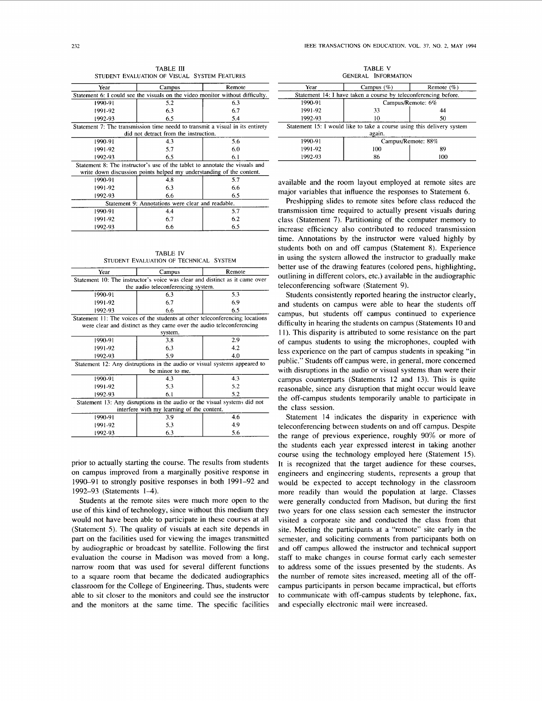**TABLE III** STUDENT EVALUATION OF VISUAL SYSTEM FEATURES

| Year                                                                          | Remote<br>Campus |      |  |
|-------------------------------------------------------------------------------|------------------|------|--|
| Statement 6: I could see the visuals on the video monitor without difficulty. |                  |      |  |
| 1990-91                                                                       | 5.2<br>6.3       |      |  |
| 1991-92                                                                       | 6.3              | 6.7  |  |
| 1992-93                                                                       | 6.5              | 5.4  |  |
| Statement 7: The transmission time needd to transmit a visual in its entirety |                  |      |  |
| did not detract from the instruction.                                         |                  |      |  |
| 1990-91                                                                       | 4.3              | 5.6  |  |
| 1991-92                                                                       | 5.7              | 6.0  |  |
| 1992-93                                                                       | 6.5              | 6. l |  |
| Statement 8: The instructor's use of the tablet to annotate the visuals and   |                  |      |  |
| write down discussion points helped my understanding of the content.          |                  |      |  |
| 1990-91                                                                       | 4.8              | 5.7  |  |
| 1991-92                                                                       | 6.3              | 6.6  |  |
| 1992-93                                                                       | 6.6              | 6.5  |  |
| Statement 9: Annotations were clear and readable.                             |                  |      |  |
| 1990-91                                                                       | 4.4              | 5.7  |  |
| 1991-92                                                                       | 6.7              | 6.2  |  |
| 1992-93                                                                       | 6.5<br>6.6       |      |  |

TABLE IV STUDENT EVALUATION OF TECHNICAL SYSTEM

| Year                                                                        | Campus                                                                       | Remote |  |  |
|-----------------------------------------------------------------------------|------------------------------------------------------------------------------|--------|--|--|
| Statement 10: The instructor's voice was clear and distinct as it came over |                                                                              |        |  |  |
| the audio teleconferencing system.                                          |                                                                              |        |  |  |
| 1990-91                                                                     | 5.3<br>6.3                                                                   |        |  |  |
| 1991-92                                                                     | 6.7                                                                          | 6.9    |  |  |
| 1992-93                                                                     | 6.6                                                                          | 6.5    |  |  |
|                                                                             | Statement 11: The voices of the students at other teleconferencing locations |        |  |  |
|                                                                             | were clear and distinct as they came over the audio teleconferencing         |        |  |  |
|                                                                             | system.                                                                      |        |  |  |
| 1990-91                                                                     | 3.8                                                                          | 2.9    |  |  |
| 1991-92                                                                     | 6.3                                                                          | 4.2    |  |  |
| 1992-93                                                                     | 5.9                                                                          | 4.0    |  |  |
| Statement 12: Any distruptions in the audio or visual systems appeared to   |                                                                              |        |  |  |
|                                                                             | be minor to me.                                                              |        |  |  |
| 1990-91                                                                     | 4.3                                                                          | 4.3    |  |  |
| 1991-92                                                                     | 5.3                                                                          | 5.2    |  |  |
| 1992-93                                                                     | 6.1                                                                          | 5.2    |  |  |
| Statement 13: Any disruptions in the audio or the visual systems did not    |                                                                              |        |  |  |
| interfere with my learning of the content.                                  |                                                                              |        |  |  |
| 1990-91                                                                     | 3.9                                                                          | 4.6    |  |  |
| 1991-92                                                                     | 5.3                                                                          | 4.9    |  |  |
| 1992-93                                                                     | 5.6<br>6.3                                                                   |        |  |  |

prior to actually starting the course. The results from students on campus improved from a marginally positive response in 1990-91 to strongly positive responses in both 1991-92 and 1992-93 (Statements 1-4).

Students at the remote sites were much more open to the use of this kind of technology, since without this medium they would not have been able to participate in these courses at all (Statement *5).* The quality of visuals at each site depends in part on the facilities used for viewing the images transmitted by audiographic or broadcast by satellite. Following the first evaluation the course in Madison was moved from a long, narrow room that was used for several different functions to a square room that became the dedicated audiographics classroom for the College of Engineering. Thus, students were able to sit closer to the monitors and could see the instructor and the monitors at the same time. The specific facilities

TABLE V GENERAL INFORMATION

| Year                                                                | <b>Campus</b> | Remote                                                              | Year    | Campus $(\%)$                                                          | Remote $(\% )$ |
|---------------------------------------------------------------------|---------------|---------------------------------------------------------------------|---------|------------------------------------------------------------------------|----------------|
| 6: I could see the visuals on the video monitor without difficulty. |               | Statement 14: I have taken a course by teleconferencing before.     |         |                                                                        |                |
| 190-91                                                              | 5.2           |                                                                     | 1990-91 | Campus/Remote: 6%                                                      |                |
| 91-92                                                               | 6.3           | 6.7                                                                 | 1991-92 | 33                                                                     | 44             |
| 92-93                                                               | 6.5           | 5.4                                                                 | 1992-93 |                                                                        | 50             |
|                                                                     |               | 7: The transmission time needd to transmit a visual in its entirety |         | Statement 15: I would like to take a course using this delivery system |                |
| did not detract from the instruction.                               |               | again.                                                              |         |                                                                        |                |
| 90-91                                                               | 4.3           | 5.6                                                                 | 1990-91 | Campus/Remote: 88%                                                     |                |
| 91-92                                                               | 5.7           | 6.0                                                                 | 1991-92 | 100                                                                    | -89            |
| 92-93                                                               | 6.5           | 6.1                                                                 | 1992-93 | 86                                                                     | 100            |

available and the room layout employed at remote sites are major variables that influence the responses to Statement **6.** 

Preshipping slides to remote sites before class reduced the transmission time required to actually present visuals during class (Statement 7). Partitioning of the computer memory to increase efficiency also contributed to reduced transmission time. Annotations by the instructor were valued highly by students both on and off campus (Statement **8).** Experience in using the system allowed the instructor to gradually make better use of the drawing features (colored pens, highlighting, outlining in different colors, etc.) available in the audiographic teleconferencing software (Statement 9).

Students consistently reported hearing the instructor clearly, and students on campus were able to hear the students off campus, but students off campus continued to experience difficulty in hearing the students on campus (Statements 10 and 11). This disparity is attributed to some resistance on the part of campus students to using the microphones, coupled with less experience on the part of campus students in speaking "in public." Students off campus were, in general, more concerned with disruptions in the audio or visual systems than were their campus counterparts (Statements 12 and 13). This is quite reasonable, since any disruption that might occur would leave the off-campus students temporarily unable to participate in the class session.

Statement 14 indicates the disparity in experience with teleconferencing between students on and off campus. Despite the range of previous experience, roughly 90% or more of the students each year expressed interest in taking another course using the technology employed here (Statement 15). It is recognized that the target audience for these courses, engineers and engineering students, represents a group that would be expected to accept technology in the classroom more readily than would the population at large. Classes were generally conducted from Madison, but during the first two years for one class session each semester the instructor visited a corporate site and conducted the class from that site. Meeting the participants at a "remote" site early in the semester, and soliciting comments from participants both on and off campus allowed the instructor and technical support staff to make changes in course format early each semester to address some of the issues presented by the students. **As**  the number of remote sites increased, meeting all of the offcampus participants in person became impractical, but efforts to communicate with off-campus students by telephone, fax, and especially electronic mail were increased.